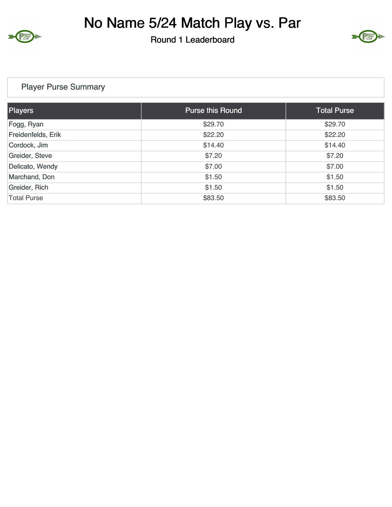

No Name 5/24 Match Play vs. Par

Round 1 Leaderboard



## Player Purse Summary

| Players            | <b>Purse this Round</b> | <b>Total Purse</b> |
|--------------------|-------------------------|--------------------|
| Fogg, Ryan         | \$29.70                 | \$29.70            |
| Freidenfelds, Erik | \$22.20                 | \$22.20            |
| Cordock, Jim       | \$14.40                 | \$14.40            |
| Greider, Steve     | \$7.20                  | \$7.20             |
| Delicato, Wendy    | \$7.00                  | \$7.00             |
| Marchand, Don      | \$1.50                  | \$1.50             |
| Greider, Rich      | \$1.50                  | \$1.50             |
| <b>Total Purse</b> | \$83.50                 | \$83.50            |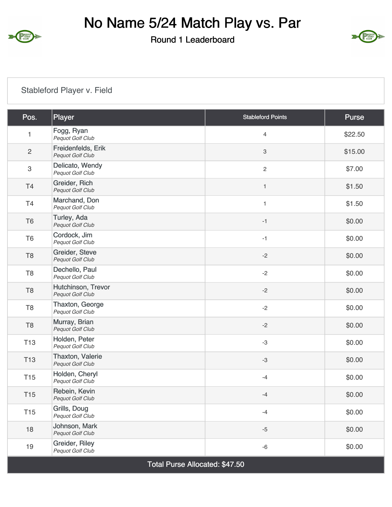

No Name 5/24 Match Play vs. Par

Round 1 Leaderboard



## Stableford Player v. Field

| Pos.            | Player                                 | <b>Stableford Points</b>  | Purse   |
|-----------------|----------------------------------------|---------------------------|---------|
| $\mathbf{1}$    | Fogg, Ryan<br>Pequot Golf Club         | $\overline{4}$            | \$22.50 |
| $\sqrt{2}$      | Freidenfelds, Erik<br>Pequot Golf Club | $\ensuremath{\mathsf{3}}$ | \$15.00 |
| $\sqrt{3}$      | Delicato, Wendy<br>Pequot Golf Club    | $\sqrt{2}$                | \$7.00  |
| T <sub>4</sub>  | Greider, Rich<br>Pequot Golf Club      | $\mathbf{1}$              | \$1.50  |
| T <sub>4</sub>  | Marchand, Don<br>Pequot Golf Club      | $\mathbf{1}$              | \$1.50  |
| T <sub>6</sub>  | Turley, Ada<br>Pequot Golf Club        | $-1$                      | \$0.00  |
| T <sub>6</sub>  | Cordock, Jim<br>Pequot Golf Club       | $-1$                      | \$0.00  |
| T <sub>8</sub>  | Greider, Steve<br>Pequot Golf Club     | $-2$                      | \$0.00  |
| T <sub>8</sub>  | Dechello, Paul<br>Pequot Golf Club     | $-2$                      | \$0.00  |
| T <sub>8</sub>  | Hutchinson, Trevor<br>Pequot Golf Club | $-2$                      | \$0.00  |
| T <sub>8</sub>  | Thaxton, George<br>Pequot Golf Club    | $-2$                      | \$0.00  |
| T <sub>8</sub>  | Murray, Brian<br>Pequot Golf Club      | $-2$                      | \$0.00  |
| <b>T13</b>      | Holden, Peter<br>Pequot Golf Club      | $-3$                      | \$0.00  |
| <b>T13</b>      | Thaxton, Valerie<br>Pequot Golf Club   | $-3$                      | \$0.00  |
| <b>T15</b>      | Holden, Cheryl<br>Pequot Golf Club     | $-4$                      | \$0.00  |
| <b>T15</b>      | Rebein, Kevin<br>Pequot Golf Club      | $-4$                      | \$0.00  |
| T <sub>15</sub> | Grills, Doug<br>Pequot Golf Club       | $-4$                      | \$0.00  |
| 18              | Johnson, Mark<br>Pequot Golf Club      | $-5$                      | \$0.00  |
| 19              | Greider, Riley<br>Pequot Golf Club     | -6                        | \$0.00  |

Total Purse Allocated: \$47.50